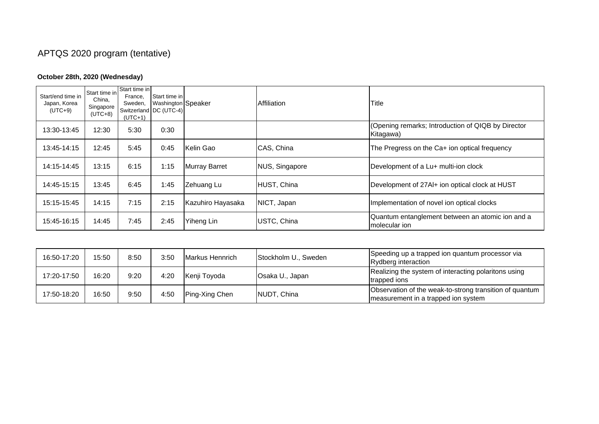## APTQS 2020 program (tentative)

## **October 28th, 2020 (Wednesday)**

| Start/end time in<br>Japan, Korea<br>$(UTC+9)$ | Start time in<br>China,<br>Singapore<br>$(UTC+8)$ | Start time in<br>France.<br>Sweden,<br>$(UTC+1)$ | Start time in<br>Washington Speaker<br>Switzerland DC (UTC-4) |                      | Affiliation    | Title                                                              |
|------------------------------------------------|---------------------------------------------------|--------------------------------------------------|---------------------------------------------------------------|----------------------|----------------|--------------------------------------------------------------------|
| 13:30-13:45                                    | 12:30                                             | 5:30                                             | 0:30                                                          |                      |                | (Opening remarks; Introduction of QIQB by Director<br>Kitagawa)    |
| 13:45-14:15                                    | 12:45                                             | 5:45                                             | 0:45                                                          | Kelin Gao            | CAS, China     | The Pregress on the Ca+ ion optical frequency                      |
| 14:15-14:45                                    | 13:15                                             | 6:15                                             | 1:15                                                          | <b>Murray Barret</b> | NUS, Singapore | Development of a Lu+ multi-ion clock                               |
| 14:45-15:15                                    | 13:45                                             | 6:45                                             | 1:45                                                          | Zehuang Lu           | HUST, China    | Development of 27AI+ ion optical clock at HUST                     |
| 15:15-15:45                                    | 14:15                                             | 7:15                                             | 2:15                                                          | Kazuhiro Hayasaka    | NICT, Japan    | Implementation of novel ion optical clocks                         |
| 15:45-16:15                                    | 14:45                                             | 7:45                                             | 2:45                                                          | Yiheng Lin           | USTC, China    | Quantum entanglement between an atomic ion and a<br>Imolecular ion |

| 16:50-17:20 | 15:50 | 8:50 | 3:50 | Markus Hennrich | Stockholm U., Sweden | Speeding up a trapped ion quantum processor via<br>Rydberg interaction                         |
|-------------|-------|------|------|-----------------|----------------------|------------------------------------------------------------------------------------------------|
| 17:20-17:50 | 16:20 | 9:20 | 4:20 | Kenji Toyoda    | Osaka U., Japan      | Realizing the system of interacting polaritons using<br>trapped ions                           |
| 17:50-18:20 | 16:50 | 9:50 | 4:50 | Ping-Xing Chen  | NUDT, China          | Observation of the weak-to-strong transition of quantum<br>measurement in a trapped ion system |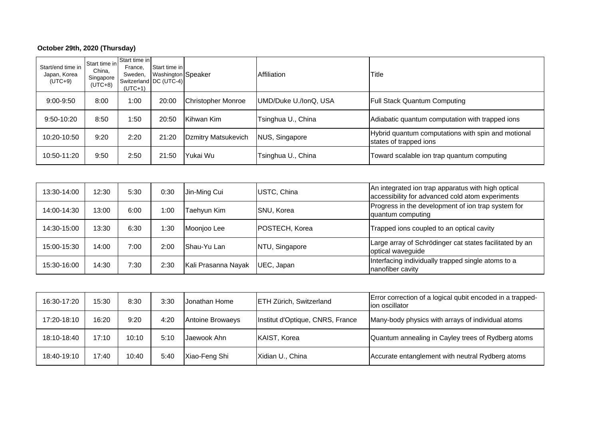## **October 29th, 2020 (Thursday)**

| Start/end time in<br>Japan, Korea<br>$(UTC+9)$ | Start time in<br>China.<br>Singapore<br>(UTC+8) | Start time in<br>France.<br>Sweden,<br>$(UTC+1)$ | Start time in<br>Washington Speaker<br>Switzerland DC (UTC-4) |                           | Affiliation           | Title                                                                        |
|------------------------------------------------|-------------------------------------------------|--------------------------------------------------|---------------------------------------------------------------|---------------------------|-----------------------|------------------------------------------------------------------------------|
| $9:00-9:50$                                    | 8:00                                            | 1:00                                             | 20:00                                                         | <b>Christopher Monroe</b> | UMD/Duke U./IonQ, USA | <b>Full Stack Quantum Computing</b>                                          |
| $9:50 - 10:20$                                 | 8:50                                            | 1:50                                             | 20:50                                                         | Kihwan Kim                | Tsinghua U., China    | Adiabatic quantum computation with trapped ions                              |
| 10:20-10:50                                    | 9:20                                            | 2:20                                             | 21:20                                                         | Dzmitry Matsukevich       | NUS, Singapore        | Hybrid quantum computations with spin and motional<br>states of trapped ions |
| 10:50-11:20                                    | 9:50                                            | 2:50                                             | 21:50                                                         | Yukai Wu                  | Tsinghua U., China    | Toward scalable ion trap quantum computing                                   |

| 13:30-14:00 | 12:30 | 5:30 | 0:30 | Jin-Ming Cui        | USTC, China       | An integrated ion trap apparatus with high optical<br>accessibility for advanced cold atom experiments |
|-------------|-------|------|------|---------------------|-------------------|--------------------------------------------------------------------------------------------------------|
| 14:00-14:30 | 13:00 | 6:00 | 1:00 | Taehvun Kim         | <b>SNU, Korea</b> | Progress in the development of ion trap system for<br>quantum computing                                |
| 14:30-15:00 | 13:30 | 6:30 | 1:30 | Moonjoo Lee         | POSTECH, Korea    | Trapped ions coupled to an optical cavity                                                              |
| 15:00-15:30 | 14:00 | 7:00 | 2:00 | IShau-Yu Lan        | NTU, Singapore    | Large array of Schrödinger cat states facilitated by an<br>optical waveguide                           |
| 15:30-16:00 | 14:30 | 7:30 | 2:30 | Kali Prasanna Nayak | UEC, Japan        | Interfacing individually trapped single atoms to a<br>nanofiber cavity                                 |

| 16:30-17:20 | 15:30 | 8:30  | 3:30 | IJonathan Home   | <b>ETH Zürich, Switzerland</b>   | Error correction of a logical qubit encoded in a trapped-<br>lion oscillator |
|-------------|-------|-------|------|------------------|----------------------------------|------------------------------------------------------------------------------|
| 17:20-18:10 | 16:20 | 9:20  | 4:20 | Antoine Browaeys | Institut d'Optique, CNRS, France | Many-body physics with arrays of individual atoms                            |
| 18:10-18:40 | 17:10 | 10:10 | 5:10 | Jaewook Ahn      | <b>KAIST, Korea</b>              | Quantum annealing in Cayley trees of Rydberg atoms                           |
| 18:40-19:10 | 17:40 | 10:40 | 5:40 | Xiao-Feng Shi    | Xidian U., China                 | Accurate entanglement with neutral Rydberg atoms                             |